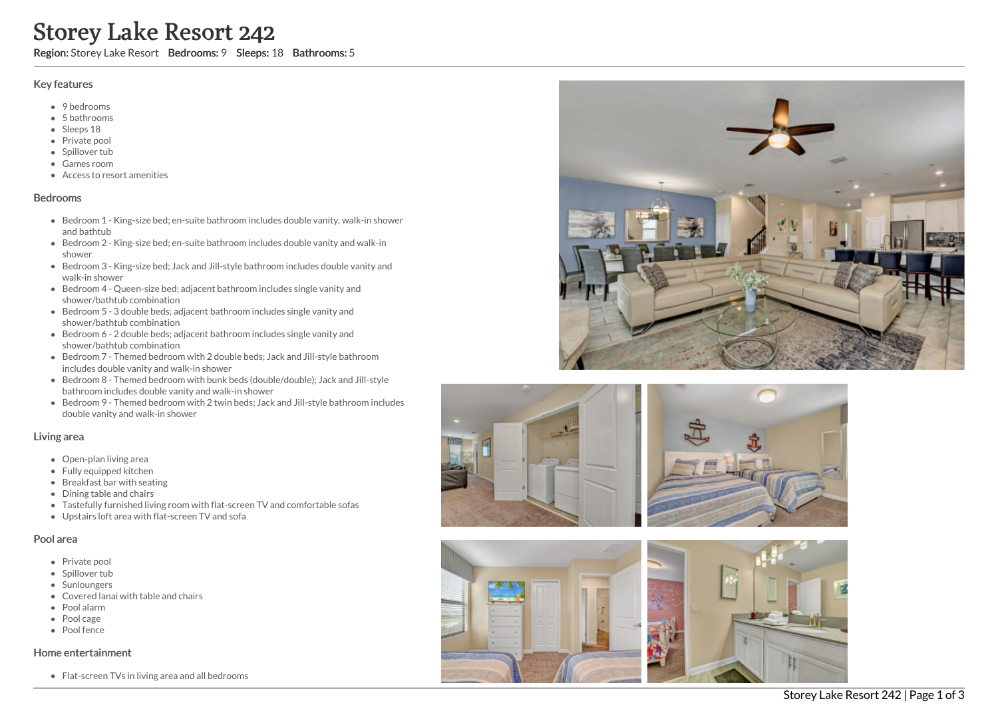# Storey Lake Resort 242

Region: Storey Lake Resort Bedrooms: 9 Sleeps: 18 Bathrooms: 5

#### Key features

- 9 bedrooms
- 5 b a t h r o o m s
- Sleeps 18
- Private pool
- Spillover tub
- Games room
- Access to resort amenities

#### **Bedrooms**

- Bedroom 1 King-size bed; en-suite bathroom includes double vanity, walk-in shower and bathtub
- Bedroom 2 King-size bed; en-suite bathroom includes double vanity and walk-in s h o w e r
- Bedroom 3 King-size bed; Jack and Jill-style bathroom includes double vanity and walk-in shower
- Bedroom 4 Queen-size bed; adjacent bathroom includes single vanity and shower/bathtub combination
- Bedroom 5 3 double beds; adjacent bathroom includes single vanity and shower/bathtub combination
- Bedroom 6 2 double beds; adjacent bathroom includes single vanity and shower/bathtub combination
- Bedroom 7 Themed bedroom with 2 double beds; Jack and Jill-style bathroom includes double vanity and walk-in shower
- Bedroom 8 Themed bedroom with bunk beds (double/double); Jack and Jill-style bathroom includes double vanity and walk-in shower
- Bedroom 9 Themed bedroom with 2 twin beds; Jack and Jill-style bathroom includes double vanity and walk-in shower

## Living area

- Open-plan living area
- Fully equipped kitchen
- Breakfast bar with seating
- Dining table and chairs
- Tastefully furnished living room with flat-screen TV and comfortable sofas
- Upstairs loft area with flat-screen TV and sofa

## Pool area

- Private pool
- Spillover tub
- Sunloungers
- Covered lanai with table and chairs
- P o ol ala r m
- Pool cage
- Pool fence

## Home entertainment

Flat-screen TVs in living area and all bedrooms





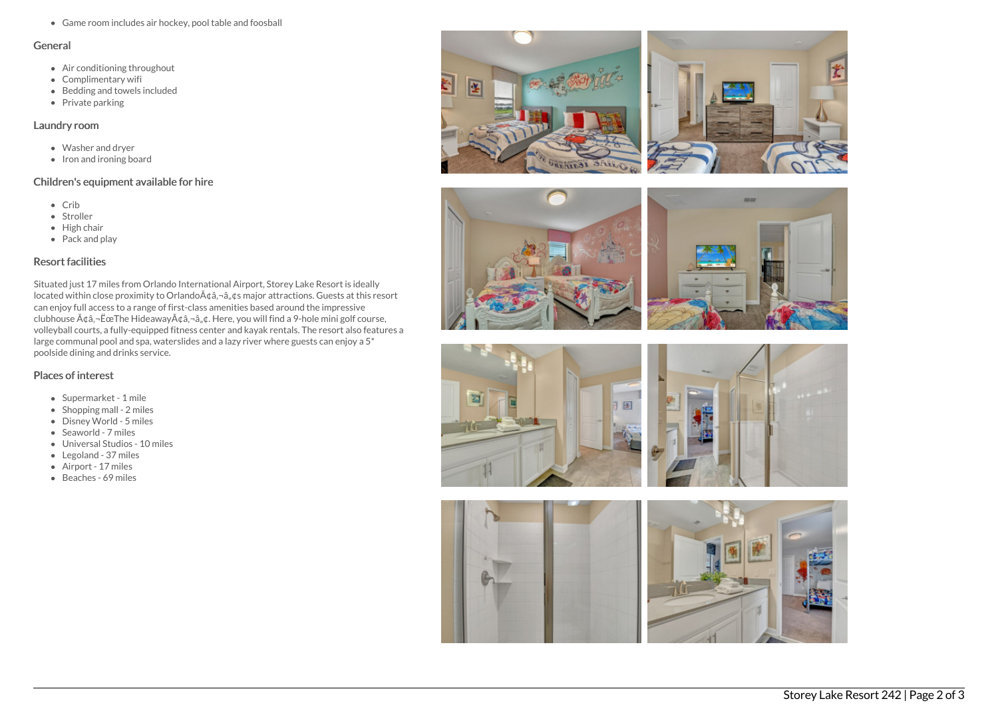Game room includes air hockey, pool table and foosball

#### General

- Air conditioning throughout
- Complimentary wifi
- Bedding and towels included
- $\bullet$  Private parking

## Laundry room

- Washer and dryer
- Iron and ironing board

# Children's equipment available for hire

- Crib
- Stroller
- $\bullet$  High chair
- Pack and play

# Resort facilities

Situated just 17 miles from Orlando International Airport, Storey Lake Resort is ideally located within close proximity to Orlando $A\phi$ ,  $-\hat{a}$ ,  $\phi$ s major attractions. Guests at this resort can enjoy full access to a range of first-class amenities based around the impressive clubhouse  $\tilde{A} \phi \hat{a}$ ,  $\tilde{E}$   $\tilde{c}$  The Hideaway $\tilde{A} \phi \hat{a}$ ,  $\tilde{a}$ ,  $\phi$ . Here, you will find a 9-hole mini golf course, volleyball courts, a fully-equipped fitness center and kayak rentals. The resort also features a large communal pool and spa, waterslides and a lazy river where guests can enjoy a 5\* poolside dining and drinks service.

# Places of interest

- Supermarket 1 mile
- $\bullet$  Shopping mall 2 miles
- Disney World 5 miles
- Seaworld 7 miles
- Universal Studios 10 miles
- Legoland 37 miles
- Airport 17 miles
- Beaches 69 miles